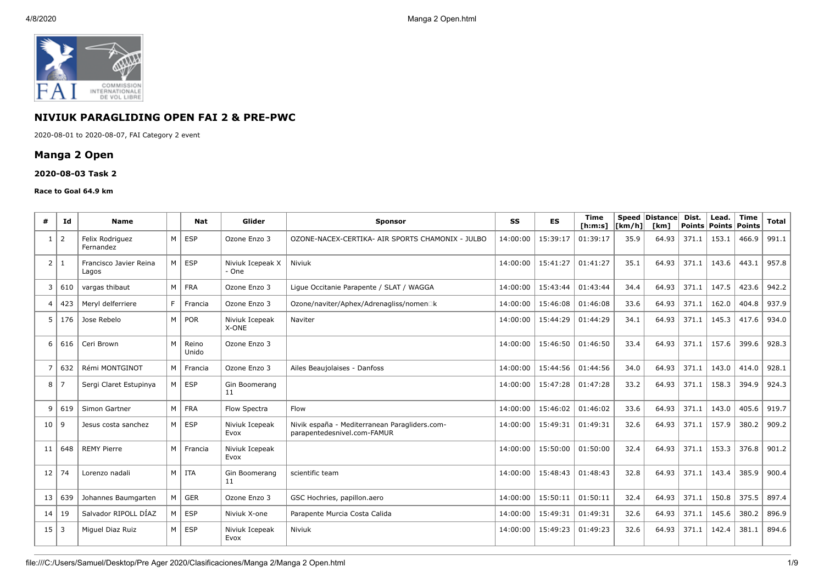

# **NIVIUK PARAGLIDING OPEN FAI 2 & PRE-PWC**

2020-08-01 to 2020-08-07, FAI Category 2 event

# **Manga 2 Open**

### **2020-08-03 Task 2**

#### **Race to Goal 64.9 km**

| #                | Id  | <b>Name</b>                     |                | Nat            | Glider                    | <b>Sponsor</b>                                                               | SS       | <b>ES</b> | <b>Time</b><br>[ <b>h</b> : <b>m</b> : <b>s</b> ] | [km/h] | Speed Distance<br><b>Tkm1</b> | Dist. | Lead.<br>Points   Points   Points | <b>Time</b> | <b>Total</b> |
|------------------|-----|---------------------------------|----------------|----------------|---------------------------|------------------------------------------------------------------------------|----------|-----------|---------------------------------------------------|--------|-------------------------------|-------|-----------------------------------|-------------|--------------|
| 1                | 2   | Felix Rodriguez<br>Fernandez    | M              | <b>ESP</b>     | Ozone Enzo 3              | OZONE-NACEX-CERTIKA- AIR SPORTS CHAMONIX - JULBO                             | 14:00:00 | 15:39:17  | 01:39:17                                          | 35.9   | 64.93                         | 371.1 | 153.1                             | 466.9       | 991.1        |
| $\overline{2}$   | 1   | Francisco Javier Reina<br>Lagos | M              | <b>ESP</b>     | Niviuk Icepeak X<br>- One | Niviuk                                                                       | 14:00:00 | 15:41:27  | 01:41:27                                          | 35.1   | 64.93                         | 371.1 | 143.6                             | 443.1       | 957.8        |
| 3                | 610 | vargas thibaut                  | M              | <b>FRA</b>     | Ozone Enzo 3              | Ligue Occitanie Parapente / SLAT / WAGGA                                     | 14:00:00 | 15:43:44  | 01:43:44                                          | 34.4   | 64.93                         | 371.1 | 147.5                             | 423.6       | 942.2        |
| $\boldsymbol{4}$ | 423 | Mervl delferriere               | F.             | Francia        | Ozone Enzo 3              | Ozone/naviter/Aphex/Adrenagliss/nomen□k                                      | 14:00:00 | 15:46:08  | 01:46:08                                          | 33.6   | 64.93                         | 371.1 | 162.0                             | 404.8       | 937.9        |
| 5                | 176 | Jose Rebelo                     | M              | POR            | Niviuk Icepeak<br>X-ONE   | Naviter                                                                      | 14:00:00 | 15:44:29  | 01:44:29                                          | 34.1   | 64.93                         | 371.1 | 145.3                             | 417.6       | 934.0        |
| 6                | 616 | Ceri Brown                      | M              | Reino<br>Unido | Ozone Enzo 3              |                                                                              | 14:00:00 | 15:46:50  | 01:46:50                                          | 33.4   | 64.93                         | 371.1 | 157.6                             | 399.6       | 928.3        |
|                  | 632 | Rémi MONTGINOT                  | M              | Francia        | Ozone Enzo 3              | Ailes Beaujolaises - Danfoss                                                 | 14:00:00 | 15:44:56  | 01:44:56                                          | 34.0   | 64.93                         | 371.1 | 143.0                             | 414.0       | 928.1        |
| 8                | -7  | Sergi Claret Estupinya          | м              | <b>ESP</b>     | Gin Boomerang<br>11       |                                                                              | 14:00:00 | 15:47:28  | 01:47:28                                          | 33.2   | 64.93                         | 371.1 | 158.3                             | 394.9       | 924.3        |
| q                | 619 | Simon Gartner                   | M              | <b>FRA</b>     | Flow Spectra              | Flow                                                                         | 14:00:00 | 15:46:02  | 01:46:02                                          | 33.6   | 64.93                         | 371.1 | 143.0                             | 405.6       | 919.7        |
| 10               | -9  | Jesus costa sanchez             | M              | <b>ESP</b>     | Niviuk Icepeak<br>Evox    | Nivik españa - Mediterranean Paragliders.com-<br>parapentedesnivel.com-FAMUR | 14:00:00 | 15:49:31  | 01:49:31                                          | 32.6   | 64.93                         | 371.1 | 157.9                             | 380.2       | 909.2        |
| 11               | 648 | <b>REMY Pierre</b>              | M <sub>1</sub> | Francia        | Niviuk Icepeak<br>Evox    |                                                                              | 14:00:00 | 15:50:00  | 01:50:00                                          | 32.4   | 64.93                         | 371.1 | 153.3                             | 376.8       | 901.2        |
| 12               | 74  | Lorenzo nadali                  | M              | <b>ITA</b>     | Gin Boomerang<br>11       | scientific team                                                              | 14:00:00 | 15:48:43  | 01:48:43                                          | 32.8   | 64.93                         | 371.1 | 143.4                             | 385.9       | 900.4        |
| 13               | 639 | Johannes Baumgarten             | M              | <b>GER</b>     | Ozone Enzo 3              | GSC Hochries, papillon.aero                                                  | 14:00:00 | 15:50:11  | 01:50:11                                          | 32.4   | 64.93                         | 371.1 | 150.8                             | 375.5       | 897.4        |
| 14               | 19  | Salvador RIPOLL DÍAZ            | м              | <b>ESP</b>     | Niviuk X-one              | Parapente Murcia Costa Calida                                                | 14:00:00 | 15:49:31  | 01:49:31                                          | 32.6   | 64.93                         | 371.1 | 145.6                             | 380.2       | 896.9        |
| $15 \mid 3$      |     | Miquel Diaz Ruiz                | M              | <b>ESP</b>     | Niviuk Icepeak<br>Evox    | Niviuk                                                                       | 14:00:00 | 15:49:23  | 01:49:23                                          | 32.6   | 64.93                         | 371.1 | 142.4                             | 381.1       | 894.6        |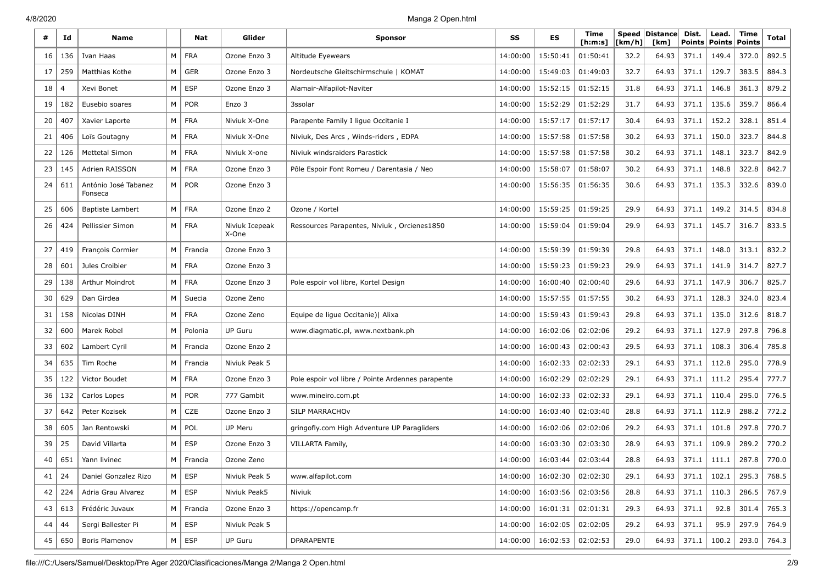| #  | Id  | <b>Name</b>                     |          | Nat           | Glider                  | <b>Sponsor</b>                                    | SS       | ES       | Time<br>[ h: m: s] | [km/h] | Speed Distance<br>[km] | Dist.<br><b>Points</b> | Lead.<br><b>Points</b> | <b>Time</b><br>Points | Total |
|----|-----|---------------------------------|----------|---------------|-------------------------|---------------------------------------------------|----------|----------|--------------------|--------|------------------------|------------------------|------------------------|-----------------------|-------|
| 16 | 136 | Ivan Haas                       | M        | <b>FRA</b>    | Ozone Enzo 3            | Altitude Eyewears                                 | 14:00:00 | 15:50:41 | 01:50:41           | 32.2   | 64.93                  | 371.1                  | 149.4                  | 372.0                 | 892.5 |
| 17 | 259 | Matthias Kothe                  | M        | <b>GER</b>    | Ozone Enzo 3            | Nordeutsche Gleitschirmschule   KOMAT             | 14:00:00 | 15:49:03 | 01:49:03           | 32.7   | 64.93                  | 371.1                  | 129.7                  | 383.5                 | 884.3 |
| 18 |     | Xevi Bonet                      | M        | <b>ESP</b>    | Ozone Enzo 3            | Alamair-Alfapilot-Naviter                         | 14:00:00 | 15:52:15 | 01:52:15           | 31.8   | 64.93                  | 371.1                  | 146.8                  | 361.3                 | 879.2 |
| 19 | 182 | Eusebio soares                  | М        | <b>POR</b>    | Enzo 3                  | 3ssolar                                           | 14:00:00 | 15:52:29 | 01:52:29           | 31.7   | 64.93                  | 371.1                  | 135.6                  | 359.7                 | 866.4 |
| 20 | 407 | Xavier Laporte                  | М        | <b>FRA</b>    | Niviuk X-One            | Parapente Family I ligue Occitanie I              | 14:00:00 | 15:57:17 | 01:57:17           | 30.4   | 64.93                  | 371.1                  | 152.2                  | 328.1                 | 851.4 |
| 21 | 406 | Loïs Goutagny                   | M        | <b>FRA</b>    | Niviuk X-One            | Niviuk, Des Arcs, Winds-riders, EDPA              | 14:00:00 | 15:57:58 | 01:57:58           | 30.2   | 64.93                  | 371.1                  | 150.0                  | 323.7                 | 844.8 |
| 22 | 126 | <b>Mettetal Simon</b>           | M        | <b>FRA</b>    | Niviuk X-one            | Niviuk windsraiders Parastick                     | 14:00:00 | 15:57:58 | 01:57:58           | 30.2   | 64.93                  | 371.1                  | 148.1                  | 323.7                 | 842.9 |
| 23 | 145 | Adrien RAISSON                  | M        | <b>FRA</b>    | Ozone Enzo 3            | Pôle Espoir Font Romeu / Darentasia / Neo         | 14:00:00 | 15:58:07 | 01:58:07           | 30.2   | 64.93                  | 371.1                  | 148.8                  | 322.8                 | 842.7 |
| 24 | 611 | António José Tabanez<br>Fonseca | M        | <b>POR</b>    | Ozone Enzo 3            |                                                   | 14:00:00 | 15:56:35 | 01:56:35           | 30.6   | 64.93                  | 371.1                  | 135.3                  | 332.6                 | 839.0 |
| 25 | 606 | <b>Baptiste Lambert</b>         | M        | <b>FRA</b>    | Ozone Enzo 2            | Ozone / Kortel                                    | 14:00:00 | 15:59:25 | 01:59:25           | 29.9   | 64.93                  | 371.1                  | 149.2                  | 314.5                 | 834.8 |
| 26 | 424 | Pellissier Simon                | M        | <b>FRA</b>    | Niviuk Icepeak<br>X-One | Ressources Parapentes, Niviuk, Orcienes1850       | 14:00:00 | 15:59:04 | 01:59:04           | 29.9   | 64.93                  | 371.1                  | 145.7                  | 316.7                 | 833.5 |
| 27 | 419 | François Cormier                | M        | Francia       | Ozone Enzo 3            |                                                   | 14:00:00 | 15:59:39 | 01:59:39           | 29.8   | 64.93                  | 371.1                  | 148.0                  | 313.1                 | 832.2 |
| 28 | 601 | Jules Croibier                  | M        | <b>FRA</b>    | Ozone Enzo 3            |                                                   | 14:00:00 | 15:59:23 | 01:59:23           | 29.9   | 64.93                  | 371.1                  | 141.9                  | 314.7                 | 827.7 |
| 29 | 138 | Arthur Moindrot                 | M        | <b>FRA</b>    | Ozone Enzo 3            | Pole espoir vol libre, Kortel Design              | 14:00:00 | 16:00:40 | 02:00:40           | 29.6   | 64.93                  | 371.1                  | 147.9                  | 306.7                 | 825.7 |
| 30 | 629 | Dan Girdea                      | М        | Suecia        | Ozone Zeno              |                                                   | 14:00:00 | 15:57:55 | 01:57:55           | 30.2   | 64.93                  | 371.1                  | 128.3                  | 324.0                 | 823.4 |
| 31 | 158 | Nicolas DINH                    | М        | <b>FRA</b>    | Ozone Zeno              | Equipe de ligue Occitanie)   Alixa                | 14:00:00 | 15:59:43 | 01:59:43           | 29.8   | 64.93                  | 371.1                  | 135.0                  | 312.6                 | 818.7 |
| 32 | 600 | Marek Robel                     | M        | Polonia       | <b>UP Guru</b>          | www.diagmatic.pl, www.nextbank.ph                 | 14:00:00 | 16:02:06 | 02:02:06           | 29.2   | 64.93                  | 371.1                  | 127.9                  | 297.8                 | 796.8 |
| 33 | 602 | Lambert Cyril                   | M        | Francia       | Ozone Enzo 2            |                                                   | 14:00:00 | 16:00:43 | 02:00:43           | 29.5   | 64.93                  | 371.1                  | 108.3                  | 306.4                 | 785.8 |
| 34 | 635 | Tim Roche                       | M        | Francia       | Niviuk Peak 5           |                                                   | 14:00:00 | 16:02:33 | 02:02:33           | 29.1   | 64.93                  | 371.1                  | 112.8                  | 295.0                 | 778.9 |
| 35 | 122 | Victor Boudet                   | M        | <b>FRA</b>    | Ozone Enzo 3            | Pole espoir vol libre / Pointe Ardennes parapente | 14:00:00 | 16:02:29 | 02:02:29           | 29.1   | 64.93                  | 371.1                  | 111.2                  | 295.4                 | 777.7 |
| 36 | 132 | Carlos Lopes                    | M        | <b>POR</b>    | 777 Gambit              | www.mineiro.com.pt                                | 14:00:00 | 16:02:33 | 02:02:33           | 29.1   | 64.93                  | 371.1                  | 110.4                  | 295.0                 | 776.5 |
| 37 | 642 | Peter Kozisek                   | M        | CZE           | Ozone Enzo 3            | SILP MARRACHOV                                    | 14:00:00 | 16:03:40 | 02:03:40           | 28.8   | 64.93                  | 371.1                  | 112.9                  | 288.2                 | 772.2 |
| 38 | 605 | Jan Rentowski                   | М        | POL           | <b>UP Meru</b>          | gringofly.com High Adventure UP Paragliders       | 14:00:00 | 16:02:06 | 02:02:06           | 29.2   | 64.93                  | 371.1                  | 101.8                  | 297.8                 | 770.7 |
| 39 | 25  | David Villarta                  | M        | <b>ESP</b>    | Ozone Enzo 3            | VILLARTA Family,                                  | 14:00:00 | 16:03:30 | 02:03:30           | 28.9   | 64.93                  | 371.1                  | 109.9                  | 289.2                 | 770.2 |
| 40 | 651 | Yann livinec                    | M        | Francia       | Ozone Zeno              |                                                   | 14:00:00 | 16:03:44 | 02:03:44           | 28.8   | 64.93                  | 371.1                  | 111.1                  | 287.8                 | 770.0 |
| 41 | 24  | Daniel Gonzalez Rizo            |          | $M \vert$ ESP | Niviuk Peak 5           | www.alfapilot.com                                 | 14:00:00 | 16:02:30 | 02:02:30           | 29.1   | 64.93                  | 371.1                  | 102.1                  | 295.3                 | 768.5 |
| 42 | 224 | Adria Grau Alvarez              |          | $M \vert$ ESP | Niviuk Peak5            | Niviuk                                            | 14:00:00 | 16:03:56 | 02:03:56           | 28.8   | 64.93                  | 371.1                  | 110.3                  | 286.5                 | 767.9 |
| 43 | 613 | Frédéric Juvaux                 | M        | Francia       | Ozone Enzo 3            | https://opencamp.fr                               | 14:00:00 | 16:01:31 | 02:01:31           | 29.3   | 64.93                  | 371.1                  | 92.8                   | 301.4                 | 765.3 |
| 44 | 44  | Sergi Ballester Pi              | $M \mid$ | <b>ESP</b>    | Niviuk Peak 5           |                                                   | 14:00:00 | 16:02:05 | 02:02:05           | 29.2   | 64.93                  | 371.1                  | 95.9                   | 297.9                 | 764.9 |
| 45 | 650 | Boris Plamenov                  |          | $M \vert$ ESP | UP Guru                 | <b>DPARAPENTE</b>                                 | 14:00:00 | 16:02:53 | 02:02:53           | 29.0   | 64.93                  | 371.1                  | 100.2                  | 293.0                 | 764.3 |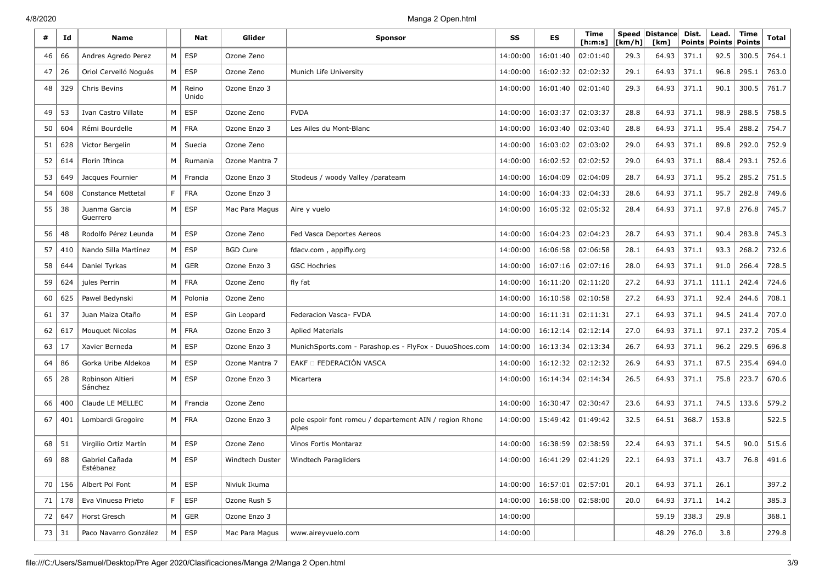| #  | Id               | <b>Name</b>                 |   | Nat            | Glider                 | <b>Sponsor</b>                                                   | SS       | <b>ES</b> | Time<br>[ h: m: s] | [km/h] | Speed Distance<br>[km] | Dist.<br><b>Points</b> | Lead.<br><b>Points</b> | Time<br><b>Points</b> | Total |
|----|------------------|-----------------------------|---|----------------|------------------------|------------------------------------------------------------------|----------|-----------|--------------------|--------|------------------------|------------------------|------------------------|-----------------------|-------|
| 46 | 66               | Andres Agredo Perez         | M | ESP            | Ozone Zeno             |                                                                  | 14:00:00 | 16:01:40  | 02:01:40           | 29.3   | 64.93                  | 371.1                  | 92.5                   | 300.5                 | 764.1 |
| 47 | 26               | Oriol Cervelló Nogués       | M | <b>ESP</b>     | Ozone Zeno             | Munich Life University                                           | 14:00:00 | 16:02:32  | 02:02:32           | 29.1   | 64.93                  | 371.1                  | 96.8                   | 295.1                 | 763.0 |
| 48 | 329              | Chris Bevins                | M | Reino<br>Unido | Ozone Enzo 3           |                                                                  | 14:00:00 | 16:01:40  | 02:01:40           | 29.3   | 64.93                  | 371.1                  | 90.1                   | 300.5                 | 761.7 |
| 49 | 53               | Ivan Castro Villate         | M | <b>ESP</b>     | Ozone Zeno             | <b>FVDA</b>                                                      | 14:00:00 | 16:03:37  | 02:03:37           | 28.8   | 64.93                  | 371.1                  | 98.9                   | 288.5                 | 758.5 |
| 50 | 604              | Rémi Bourdelle              | M | <b>FRA</b>     | Ozone Enzo 3           | Les Ailes du Mont-Blanc                                          | 14:00:00 | 16:03:40  | 02:03:40           | 28.8   | 64.93                  | 371.1                  | 95.4                   | 288.2                 | 754.7 |
| 51 | 628              | Victor Bergelin             | M | Suecia         | Ozone Zeno             |                                                                  | 14:00:00 | 16:03:02  | 02:03:02           | 29.0   | 64.93                  | 371.1                  | 89.8                   | 292.0                 | 752.9 |
| 52 | 614              | Florin Iftinca              | M | Rumania        | Ozone Mantra 7         |                                                                  | 14:00:00 | 16:02:52  | 02:02:52           | 29.0   | 64.93                  | 371.1                  | 88.4                   | 293.1                 | 752.6 |
| 53 | 649              | Jacques Fournier            | M | Francia        | Ozone Enzo 3           | Stodeus / woody Valley /parateam                                 | 14:00:00 | 16:04:09  | 02:04:09           | 28.7   | 64.93                  | 371.1                  | 95.2                   | 285.2                 | 751.5 |
| 54 | 608              | <b>Constance Mettetal</b>   | F | <b>FRA</b>     | Ozone Enzo 3           |                                                                  | 14:00:00 | 16:04:33  | 02:04:33           | 28.6   | 64.93                  | 371.1                  | 95.7                   | 282.8                 | 749.6 |
| 55 | 38               | Juanma Garcia<br>Guerrero   | M | <b>ESP</b>     | Mac Para Magus         | Aire y vuelo                                                     | 14:00:00 | 16:05:32  | 02:05:32           | 28.4   | 64.93                  | 371.1                  | 97.8                   | 276.8                 | 745.7 |
| 56 | 48               | Rodolfo Pérez Leunda        | M | <b>ESP</b>     | Ozone Zeno             | Fed Vasca Deportes Aereos                                        | 14:00:00 | 16:04:23  | 02:04:23           | 28.7   | 64.93                  | 371.1                  | 90.4                   | 283.8                 | 745.3 |
| 57 | 410              | Nando Silla Martínez        | M | <b>ESP</b>     | <b>BGD Cure</b>        | fdacv.com, appifly.org                                           | 14:00:00 | 16:06:58  | 02:06:58           | 28.1   | 64.93                  | 371.1                  | 93.3                   | 268.2                 | 732.6 |
| 58 | 644              | Daniel Tyrkas               | M | <b>GER</b>     | Ozone Enzo 3           | <b>GSC Hochries</b>                                              | 14:00:00 | 16:07:16  | 02:07:16           | 28.0   | 64.93                  | 371.1                  | 91.0                   | 266.4                 | 728.5 |
| 59 | 624              | jules Perrin                | M | <b>FRA</b>     | Ozone Zeno             | fly fat                                                          | 14:00:00 | 16:11:20  | 02:11:20           | 27.2   | 64.93                  | 371.1                  | 111.1                  | 242.4                 | 724.6 |
| 60 | 625              | Pawel Bedynski              | М | Polonia        | Ozone Zeno             |                                                                  | 14:00:00 | 16:10:58  | 02:10:58           | 27.2   | 64.93                  | 371.1                  | 92.4                   | 244.6                 | 708.1 |
| 61 | 37               | Juan Maiza Otaño            | M | <b>ESP</b>     | Gin Leopard            | Federacion Vasca- FVDA                                           | 14:00:00 | 16:11:31  | 02:11:31           | 27.1   | 64.93                  | 371.1                  | 94.5                   | 241.4                 | 707.0 |
| 62 | 617              | Mouquet Nicolas             | M | <b>FRA</b>     | Ozone Enzo 3           | <b>Aplied Materials</b>                                          | 14:00:00 | 16:12:14  | 02:12:14           | 27.0   | 64.93                  | 371.1                  | 97.1                   | 237.2                 | 705.4 |
| 63 | 17               | Xavier Berneda              | M | <b>ESP</b>     | Ozone Enzo 3           | MunichSports.com - Parashop.es - FlyFox - DuuoShoes.com          | 14:00:00 | 16:13:34  | 02:13:34           | 26.7   | 64.93                  | 371.1                  | 96.2                   | 229.5                 | 696.8 |
| 64 | 86               | Gorka Uribe Aldekoa         | M | <b>ESP</b>     | Ozone Mantra 7         | EAKF O FEDERACIÓN VASCA                                          | 14:00:00 | 16:12:32  | 02:12:32           | 26.9   | 64.93                  | 371.1                  | 87.5                   | 235.4                 | 694.0 |
| 65 | 28               | Robinson Altieri<br>Sánchez | M | <b>ESP</b>     | Ozone Enzo 3           | Micartera                                                        | 14:00:00 | 16:14:34  | 02:14:34           | 26.5   | 64.93                  | 371.1                  | 75.8                   | 223.7                 | 670.6 |
| 66 | 400              | Claude LE MELLEC            | M | Francia        | Ozone Zeno             |                                                                  | 14:00:00 | 16:30:47  | 02:30:47           | 23.6   | 64.93                  | 371.1                  | 74.5                   | 133.6                 | 579.2 |
| 67 | 401              | Lombardi Gregoire           | M | <b>FRA</b>     | Ozone Enzo 3           | pole espoir font romeu / departement AIN / region Rhone<br>Alpes | 14:00:00 | 15:49:42  | 01:49:42           | 32.5   | 64.51                  | 368.7                  | 153.8                  |                       | 522.5 |
| 68 | 51               | Virgilio Ortiz Martín       | M | <b>ESP</b>     | Ozone Zeno             | Vinos Fortis Montaraz                                            | 14:00:00 | 16:38:59  | 02:38:59           | 22.4   | 64.93                  | 371.1                  | 54.5                   | 90.0                  | 515.6 |
| 69 | 88               | Gabriel Cañada<br>Estébanez | M | ESP            | <b>Windtech Duster</b> | Windtech Paragliders                                             | 14:00:00 | 16:41:29  | 02:41:29           | 22.1   | 64.93                  | 371.1                  | 43.7                   | 76.8                  | 491.6 |
| 70 | 156              | Albert Pol Font             | M | ESP            | Niviuk Ikuma           |                                                                  | 14:00:00 | 16:57:01  | 02:57:01           | 20.1   | 64.93                  | 371.1                  | 26.1                   |                       | 397.2 |
| 71 | 178              | Eva Vinuesa Prieto          | F | <b>ESP</b>     | Ozone Rush 5           |                                                                  | 14:00:00 | 16:58:00  | 02:58:00           | 20.0   | 64.93                  | 371.1                  | 14.2                   |                       | 385.3 |
| 72 | 647              | Horst Gresch                | M | GER            | Ozone Enzo 3           |                                                                  | 14:00:00 |           |                    |        | 59.19                  | 338.3                  | 29.8                   |                       | 368.1 |
| 73 | $\vert 31 \vert$ | Paco Navarro González       | M | ESP            | Mac Para Magus         | www.aireyvuelo.com                                               | 14:00:00 |           |                    |        | 48.29                  | 276.0                  | 3.8                    |                       | 279.8 |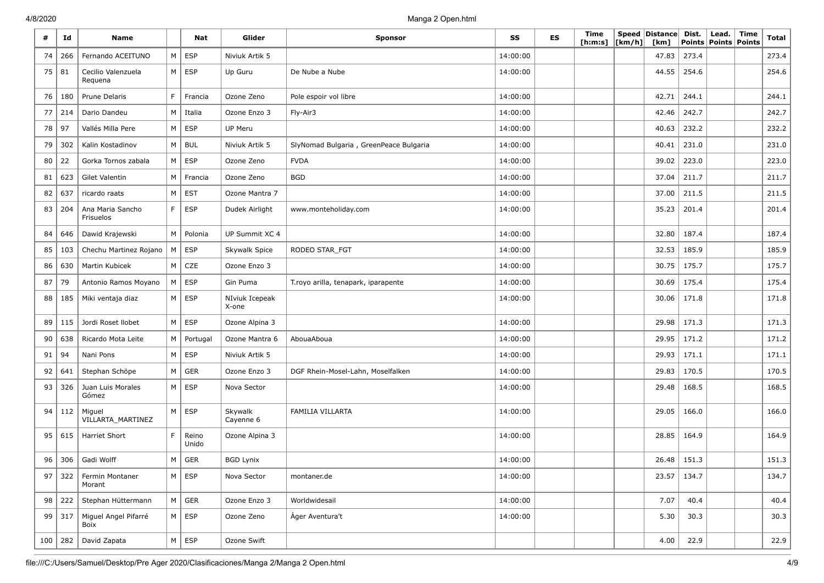| #  | Id          | <b>Name</b>                   |                | Nat            | Glider                  | <b>Sponsor</b>                         | SS       | ES | Time<br>[ h: m: s] | [km/h] | Speed Distance<br>[km] | Dist.<br><b>Points</b> | Lead.<br>Points   Points | Time | <b>Total</b> |
|----|-------------|-------------------------------|----------------|----------------|-------------------------|----------------------------------------|----------|----|--------------------|--------|------------------------|------------------------|--------------------------|------|--------------|
| 74 | 266         | Fernando ACEITUNO             | M              | ESP            | Niviuk Artik 5          |                                        | 14:00:00 |    |                    |        | 47.83                  | 273.4                  |                          |      | 273.4        |
| 75 | 81          | Cecilio Valenzuela<br>Requena |                | $M \vert$ ESP  | Up Guru                 | De Nube a Nube                         | 14:00:00 |    |                    |        | 44.55                  | 254.6                  |                          |      | 254.6        |
| 76 | 180         | Prune Delaris                 | F              | Francia        | Ozone Zeno              | Pole espoir vol libre                  | 14:00:00 |    |                    |        | 42.71                  | 244.1                  |                          |      | 244.1        |
| 77 | 214         | Dario Dandeu                  | M              | Italia         | Ozone Enzo 3            | Fly-Air3                               | 14:00:00 |    |                    |        | 42.46                  | 242.7                  |                          |      | 242.7        |
| 78 | 97          | Vallés Milla Pere             | M              | ESP            | UP Meru                 |                                        | 14:00:00 |    |                    |        | 40.63                  | 232.2                  |                          |      | 232.2        |
| 79 | 302         | Kalin Kostadinov              | M              | <b>BUL</b>     | Niviuk Artik 5          | SlyNomad Bulgaria, GreenPeace Bulgaria | 14:00:00 |    |                    |        | 40.41                  | 231.0                  |                          |      | 231.0        |
| 80 | 22          | Gorka Tornos zabala           | M <sub>1</sub> | ESP            | Ozone Zeno              | <b>FVDA</b>                            | 14:00:00 |    |                    |        | 39.02                  | 223.0                  |                          |      | 223.0        |
| 81 | 623         | Gilet Valentin                |                | M   Francia    | Ozone Zeno              | BGD                                    | 14:00:00 |    |                    |        | 37.04                  | 211.7                  |                          |      | 211.7        |
| 82 | 637         | ricardo raats                 | M              | <b>EST</b>     | Ozone Mantra 7          |                                        | 14:00:00 |    |                    |        | 37.00                  | 211.5                  |                          |      | 211.5        |
| 83 | 204         | Ana Maria Sancho<br>Frisuelos | F              | <b>ESP</b>     | Dudek Airlight          | www.monteholiday.com                   | 14:00:00 |    |                    |        | 35.23                  | 201.4                  |                          |      | 201.4        |
| 84 | 646         | Dawid Krajewski               | M              | Polonia        | UP Summit XC 4          |                                        | 14:00:00 |    |                    |        | 32.80                  | 187.4                  |                          |      | 187.4        |
| 85 | 103         | Chechu Martinez Rojano        | M              | <b>ESP</b>     | Skywalk Spice           | RODEO STAR_FGT                         | 14:00:00 |    |                    |        | 32.53                  | 185.9                  |                          |      | 185.9        |
| 86 | 630         | Martin Kubicek                | M              | CZE            | Ozone Enzo 3            |                                        | 14:00:00 |    |                    |        | 30.75                  | 175.7                  |                          |      | 175.7        |
| 87 | 79          | Antonio Ramos Moyano          | M              | <b>ESP</b>     | Gin Puma                | T.royo arilla, tenapark, iparapente    | 14:00:00 |    |                    |        | 30.69                  | 175.4                  |                          |      | 175.4        |
| 88 | 185         | Miki ventaja diaz             |                | $M \vert$ ESP  | NIviuk Icepeak<br>X-one |                                        | 14:00:00 |    |                    |        | 30.06                  | 171.8                  |                          |      | 171.8        |
| 89 | 115         | Jordi Roset Ilobet            | M <sub>1</sub> | ESP            | Ozone Alpina 3          |                                        | 14:00:00 |    |                    |        | 29.98                  | 171.3                  |                          |      | 171.3        |
| 90 | 638         | Ricardo Mota Leite            | M              | Portugal       | Ozone Mantra 6          | AbouaAboua                             | 14:00:00 |    |                    |        | 29.95                  | 171.2                  |                          |      | 171.2        |
| 91 | 94          | Nani Pons                     | M              | ESP            | Niviuk Artik 5          |                                        | 14:00:00 |    |                    |        | 29.93                  | 171.1                  |                          |      | 171.1        |
| 92 | 641         | Stephan Schöpe                | M              | GER            | Ozone Enzo 3            | DGF Rhein-Mosel-Lahn, Moselfalken      | 14:00:00 |    |                    |        | 29.83                  | 170.5                  |                          |      | 170.5        |
| 93 | 326         | Juan Luis Morales<br>Gómez    | M <sub>1</sub> | <b>ESP</b>     | Nova Sector             |                                        | 14:00:00 |    |                    |        | 29.48                  | 168.5                  |                          |      | 168.5        |
| 94 | 112         | Miguel<br>VILLARTA_MARTINEZ   | M              | ESP            | Skywalk<br>Cayenne 6    | FAMILIA VILLARTA                       | 14:00:00 |    |                    |        | 29.05                  | 166.0                  |                          |      | 166.0        |
| 95 | 615         | <b>Harriet Short</b>          | F              | Reino<br>Unido | Ozone Alpina 3          |                                        | 14:00:00 |    |                    |        | 28.85                  | 164.9                  |                          |      | 164.9        |
| 96 | 306         | Gadi Wolff                    | M              | <b>GER</b>     | <b>BGD Lynix</b>        |                                        | 14:00:00 |    |                    |        | 26.48                  | 151.3                  |                          |      | 151.3        |
| 97 | 322         | Fermin Montaner<br>Morant     |                | $M \vert$ ESP  | Nova Sector             | montaner.de                            | 14:00:00 |    |                    |        | 23.57                  | 134.7                  |                          |      | 134.7        |
| 98 | 222         | Stephan Hüttermann            |                | $M \vert$ GER  | Ozone Enzo 3            | Worldwidesail                          | 14:00:00 |    |                    |        | 7.07                   | 40.4                   |                          |      | 40.4         |
|    | 99   317    | Miguel Angel Pifarré<br>Boix  |                | $M \vert$ ESP  | Ozone Zeno              | Àger Aventura't                        | 14:00:00 |    |                    |        | 5.30                   | 30.3                   |                          |      | 30.3         |
|    | $100$   282 | David Zapata                  |                | $M \vert ESP$  | Ozone Swift             |                                        |          |    |                    |        | 4.00                   | 22.9                   |                          |      | 22.9         |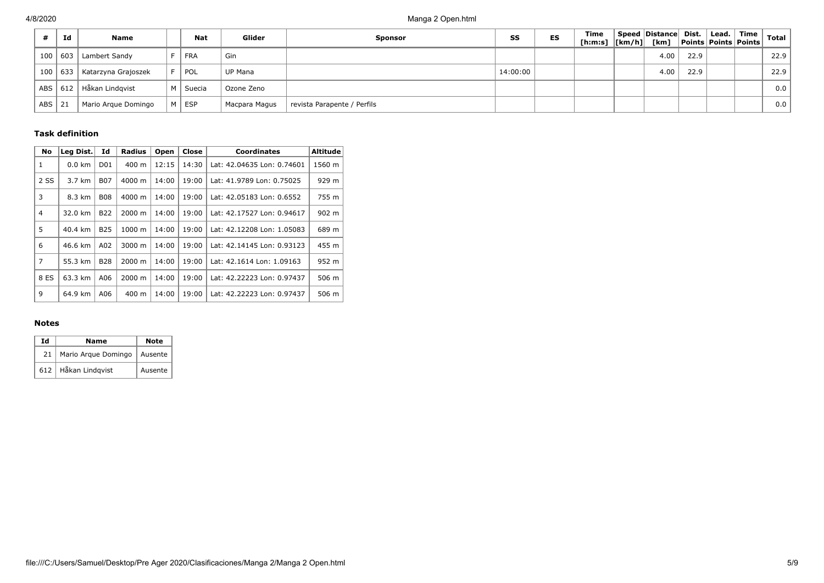|            | Id  | Name                |   | <b>Nat</b> | Glider         | <b>Sponsor</b>              | SS       | <b>ES</b> | Time<br>[h:m:s]  [km/h]  [km] | Speed Distance Dist. |      | $ $ Lead. $ $ | $\mid$ Time $\mid$<br>  Points   Points   Points | <b>Total</b> |
|------------|-----|---------------------|---|------------|----------------|-----------------------------|----------|-----------|-------------------------------|----------------------|------|---------------|--------------------------------------------------|--------------|
| 100        | 603 | Lambert Sandy       |   | FRA        | Gin            |                             |          |           |                               | 4.00                 | 22.9 |               |                                                  | 22.9         |
| 100        | 633 | Katarzyna Grajoszek |   | ® POL      | <b>UP Mana</b> |                             | 14:00:00 |           |                               | 4.00                 | 22.9 |               |                                                  | 22.9         |
| <b>ABS</b> | 612 | Håkan Lindgvist     | M | l Suecia   | Ozone Zeno     |                             |          |           |                               |                      |      |               |                                                  | 0.0          |
| <b>ABS</b> | 21  | Mario Argue Domingo |   | M   ESP    | Macpara Magus  | revista Parapente / Perfils |          |           |                               |                      |      |               |                                                  | 0.0          |

### **Task definition**

| <b>No</b>      | Leg Dist. | Id              | <b>Radius</b>   | Open  | Close | <b>Coordinates</b>         | <b>Altitude</b> |
|----------------|-----------|-----------------|-----------------|-------|-------|----------------------------|-----------------|
| 1              | $0.0$ km  | D <sub>01</sub> | $400 \text{ m}$ | 12:15 | 14:30 | Lat: 42.04635 Lon: 0.74601 | 1560 m          |
| 2 SS           | 3.7 km    | <b>B07</b>      | 4000 m          | 14:00 | 19:00 | Lat: 41.9789 Lon: 0.75025  | 929 m           |
| 3              | 8.3 km    | <b>B08</b>      | 4000 m          | 14:00 | 19:00 | Lat: 42.05183 Lon: 0.6552  | 755 m           |
| $\overline{4}$ | 32.0 km   | <b>B22</b>      | 2000 m          | 14:00 | 19:00 | Lat: 42.17527 Lon: 0.94617 | 902 m           |
| 5              | 40.4 km   | <b>B25</b>      | 1000 m          | 14:00 | 19:00 | Lat: 42.12208 Lon: 1.05083 | 689 m           |
| 6              | 46.6 km   | A02             | 3000 m          | 14:00 | 19:00 | Lat: 42.14145 Lon: 0.93123 | 455 m           |
| 7              | 55.3 km   | <b>B28</b>      | 2000 m          | 14:00 | 19:00 | Lat: 42.1614 Lon: 1.09163  | 952 m           |
| 8 ES           | 63.3 km   | A06             | 2000 m          | 14:00 | 19:00 | Lat: 42.22223 Lon: 0.97437 | 506 m           |
| 9              | 64.9 km   | A06             | 400 m           | 14:00 | 19:00 | Lat: 42.22223 Lon: 0.97437 | 506 m           |

#### **Notes**

| Ιd | Name                  | Note    |
|----|-----------------------|---------|
| 21 | Mario Arque Domingo   | Ausente |
|    | 612   Håkan Lindqvist | Ausente |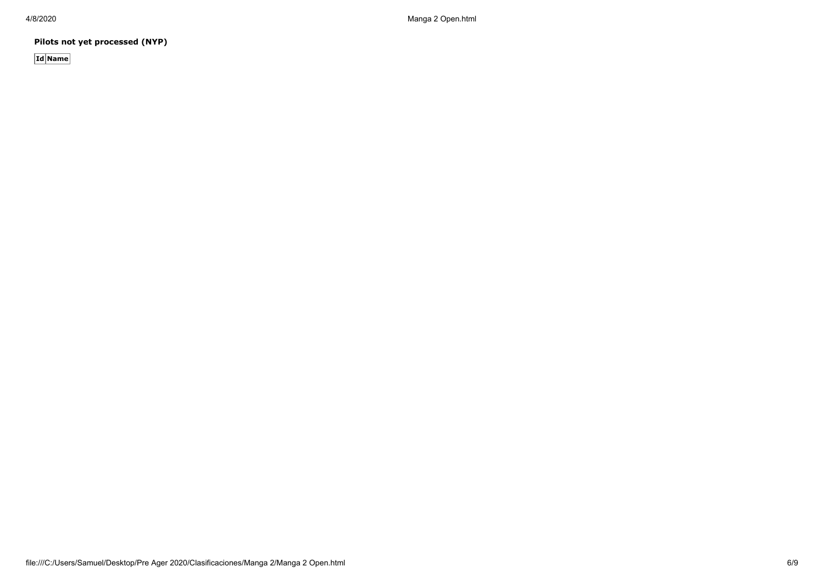**Pilots not yet processed (NYP)**

**Id Name**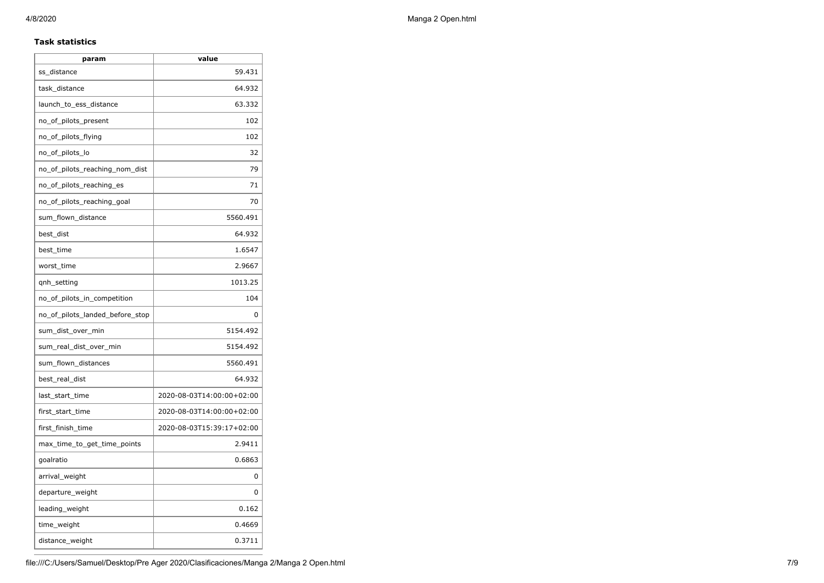### **Task statistics**

| param                           | value                     |
|---------------------------------|---------------------------|
| ss_distance                     | 59.431                    |
| task_distance                   | 64.932                    |
| launch_to_ess_distance          | 63.332                    |
| no_of_pilots_present            | 102                       |
| no_of_pilots_flying             | 102                       |
| no_of_pilots_lo                 | 32                        |
| no_of_pilots_reaching_nom_dist  | 79                        |
| no_of_pilots_reaching_es        | 71                        |
| no of pilots reaching goal      | 70                        |
| sum_flown_distance              | 5560.491                  |
| best_dist                       | 64.932                    |
| best_time                       | 1.6547                    |
| worst_time                      | 2.9667                    |
| qnh_setting                     | 1013.25                   |
| no_of_pilots_in_competition     | 104                       |
| no_of_pilots_landed_before_stop | 0                         |
| sum_dist_over_min               | 5154.492                  |
| sum_real_dist_over_min          | 5154.492                  |
| sum_flown_distances             | 5560.491                  |
| best_real_dist                  | 64.932                    |
| last_start_time                 | 2020-08-03T14:00:00+02:00 |
| first_start_time                | 2020-08-03T14:00:00+02:00 |
| first_finish_time               | 2020-08-03T15:39:17+02:00 |
| max_time_to_get_time_points     | 2.9411                    |
| goalratio                       | 0.6863                    |
| arrival_weight                  | 0                         |
| departure_weight                | 0                         |
| leading_weight                  | 0.162                     |
| time_weight                     | 0.4669                    |
| distance_weight                 | 0.3711                    |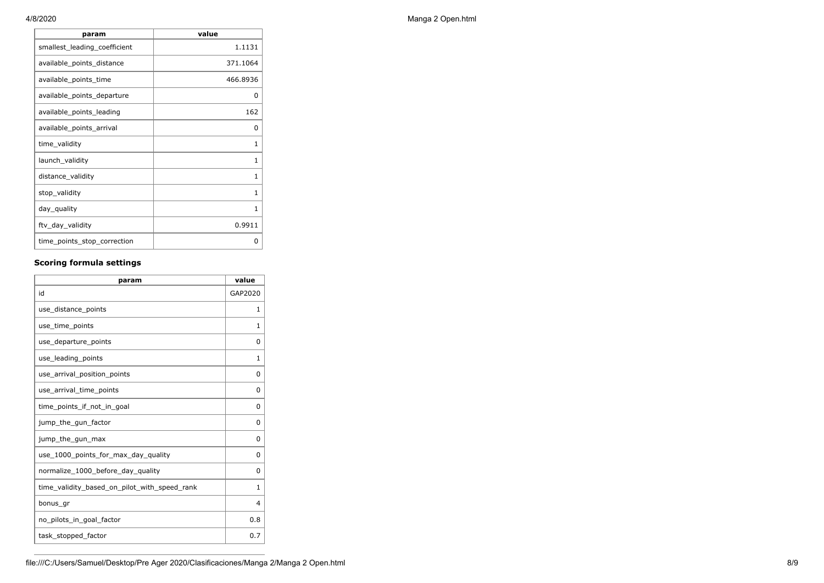| param                        | value        |
|------------------------------|--------------|
| smallest_leading_coefficient | 1.1131       |
| available_points_distance    | 371.1064     |
| available_points_time        | 466.8936     |
| available_points_departure   | 0            |
| available_points_leading     | 162          |
| available_points_arrival     | <sup>0</sup> |
| time_validity                | 1            |
| launch_validity              | 1            |
| distance_validity            | 1            |
| stop_validity                | 1            |
| day_quality                  | 1            |
| ftv_day_validity             | 0.9911       |
| time_points_stop_correction  | O            |

## **Scoring formula settings**

| param                                        | value        |
|----------------------------------------------|--------------|
| id                                           | GAP2020      |
| use_distance_points                          | 1            |
| use_time_points                              | 1            |
| use_departure_points                         | $\Omega$     |
| use_leading_points                           | 1            |
| use_arrival_position_points                  | 0            |
| use_arrival_time_points                      | 0            |
| time points if not in goal                   | 0            |
| jump_the_gun_factor                          | $\Omega$     |
| jump_the_gun_max                             | 0            |
| use_1000_points_for_max_day_quality          | 0            |
| normalize_1000_before_day_quality            | $\Omega$     |
| time_validity_based_on_pilot_with_speed_rank | $\mathbf{1}$ |
| bonus gr                                     | 4            |
| no_pilots_in_goal_factor                     | 0.8          |
| task_stopped_factor                          | 0.7          |